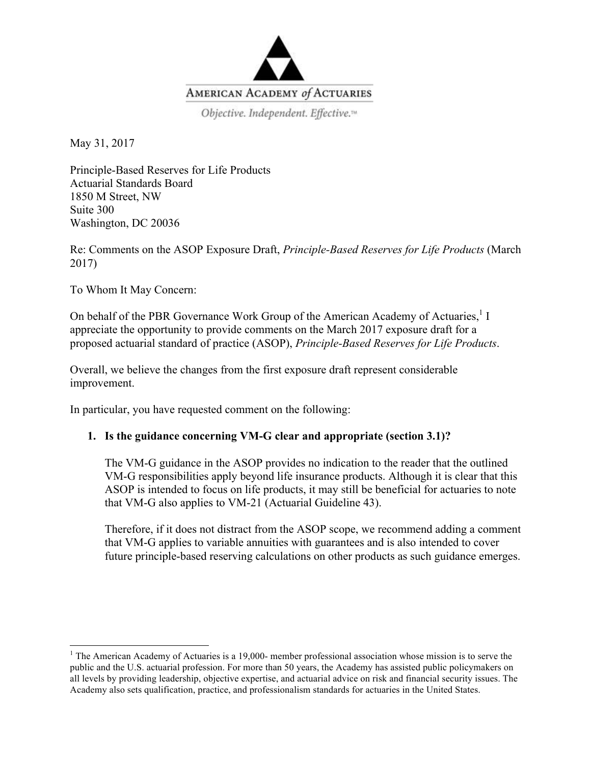

May 31, 2017

Principle-Based Reserves for Life Products Actuarial Standards Board 1850 M Street, NW Suite 300 Washington, DC 20036

Re: Comments on the ASOP Exposure Draft, *Principle-Based Reserves for Life Products* (March 2017)

To Whom It May Concern:

 

On behalf of the PBR Governance Work Group of the American Academy of Actuaries,<sup>1</sup> I appreciate the opportunity to provide comments on the March 2017 exposure draft for a proposed actuarial standard of practice (ASOP), *Principle-Based Reserves for Life Products*.

Overall, we believe the changes from the first exposure draft represent considerable improvement.

In particular, you have requested comment on the following:

# **1. Is the guidance concerning VM-G clear and appropriate (section 3.1)?**

The VM-G guidance in the ASOP provides no indication to the reader that the outlined VM-G responsibilities apply beyond life insurance products. Although it is clear that this ASOP is intended to focus on life products, it may still be beneficial for actuaries to note that VM-G also applies to VM-21 (Actuarial Guideline 43).

Therefore, if it does not distract from the ASOP scope, we recommend adding a comment that VM-G applies to variable annuities with guarantees and is also intended to cover future principle-based reserving calculations on other products as such guidance emerges.

 $1$  The American Academy of Actuaries is a 19,000- member professional association whose mission is to serve the public and the U.S. actuarial profession. For more than 50 years, the Academy has assisted public policymakers on all levels by providing leadership, objective expertise, and actuarial advice on risk and financial security issues. The Academy also sets qualification, practice, and professionalism standards for actuaries in the United States.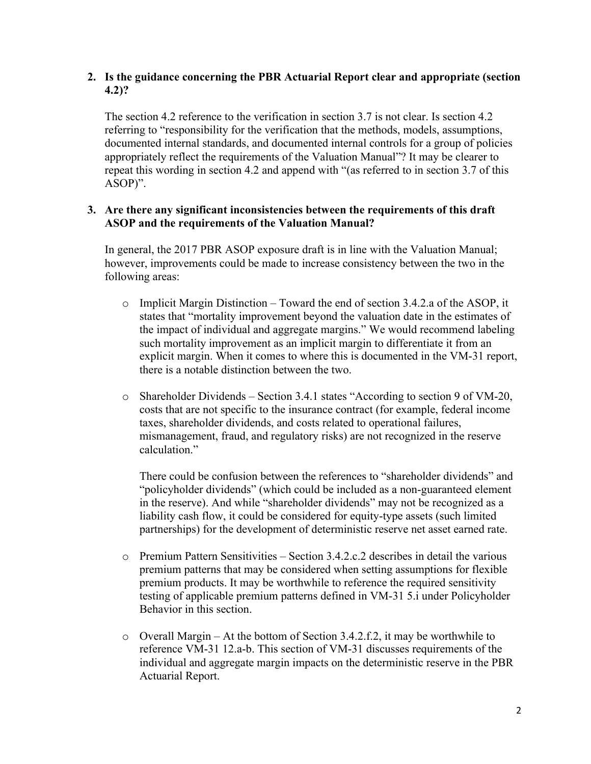# **2. Is the guidance concerning the PBR Actuarial Report clear and appropriate (section 4.2)?**

The section 4.2 reference to the verification in section 3.7 is not clear. Is section 4.2 referring to "responsibility for the verification that the methods, models, assumptions, documented internal standards, and documented internal controls for a group of policies appropriately reflect the requirements of the Valuation Manual"? It may be clearer to repeat this wording in section 4.2 and append with "(as referred to in section 3.7 of this ASOP)".

## **3. Are there any significant inconsistencies between the requirements of this draft ASOP and the requirements of the Valuation Manual?**

In general, the 2017 PBR ASOP exposure draft is in line with the Valuation Manual; however, improvements could be made to increase consistency between the two in the following areas:

- $\circ$  Implicit Margin Distinction Toward the end of section 3.4.2.a of the ASOP, it states that "mortality improvement beyond the valuation date in the estimates of the impact of individual and aggregate margins." We would recommend labeling such mortality improvement as an implicit margin to differentiate it from an explicit margin. When it comes to where this is documented in the VM-31 report, there is a notable distinction between the two.
- o Shareholder Dividends Section 3.4.1 states "According to section 9 of VM-20, costs that are not specific to the insurance contract (for example, federal income taxes, shareholder dividends, and costs related to operational failures, mismanagement, fraud, and regulatory risks) are not recognized in the reserve calculation."

There could be confusion between the references to "shareholder dividends" and "policyholder dividends" (which could be included as a non-guaranteed element in the reserve). And while "shareholder dividends" may not be recognized as a liability cash flow, it could be considered for equity-type assets (such limited partnerships) for the development of deterministic reserve net asset earned rate.

- o Premium Pattern Sensitivities Section 3.4.2.c.2 describes in detail the various premium patterns that may be considered when setting assumptions for flexible premium products. It may be worthwhile to reference the required sensitivity testing of applicable premium patterns defined in VM-31 5.i under Policyholder Behavior in this section.
- o Overall Margin At the bottom of Section 3.4.2.f.2, it may be worthwhile to reference VM-31 12.a-b. This section of VM-31 discusses requirements of the individual and aggregate margin impacts on the deterministic reserve in the PBR Actuarial Report.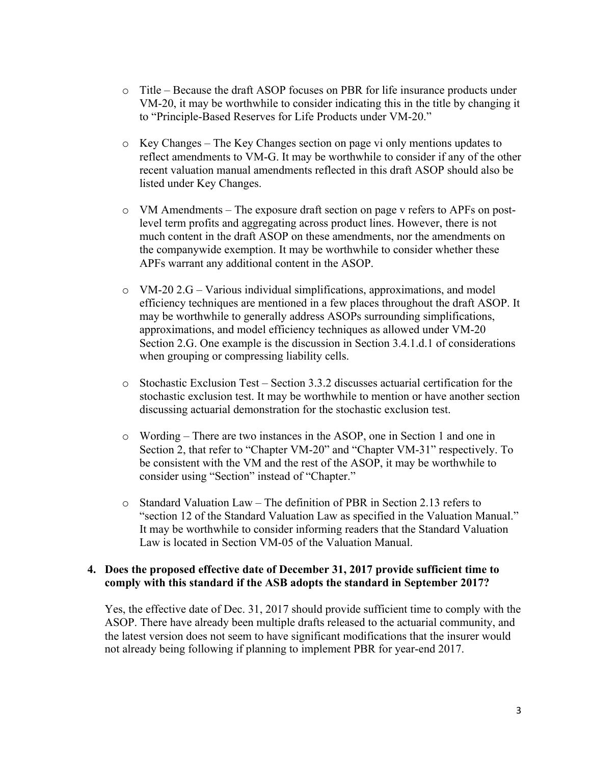- o Title Because the draft ASOP focuses on PBR for life insurance products under VM-20, it may be worthwhile to consider indicating this in the title by changing it to "Principle-Based Reserves for Life Products under VM-20."
- o Key Changes The Key Changes section on page vi only mentions updates to reflect amendments to VM-G. It may be worthwhile to consider if any of the other recent valuation manual amendments reflected in this draft ASOP should also be listed under Key Changes.
- o VM Amendments The exposure draft section on page v refers to APFs on postlevel term profits and aggregating across product lines. However, there is not much content in the draft ASOP on these amendments, nor the amendments on the companywide exemption. It may be worthwhile to consider whether these APFs warrant any additional content in the ASOP.
- $\circ$  VM-20 2.G Various individual simplifications, approximations, and model efficiency techniques are mentioned in a few places throughout the draft ASOP. It may be worthwhile to generally address ASOPs surrounding simplifications, approximations, and model efficiency techniques as allowed under VM-20 Section 2.G. One example is the discussion in Section 3.4.1.d.1 of considerations when grouping or compressing liability cells.
- $\circ$  Stochastic Exclusion Test Section 3.3.2 discusses actuarial certification for the stochastic exclusion test. It may be worthwhile to mention or have another section discussing actuarial demonstration for the stochastic exclusion test.
- o Wording There are two instances in the ASOP, one in Section 1 and one in Section 2, that refer to "Chapter VM-20" and "Chapter VM-31" respectively. To be consistent with the VM and the rest of the ASOP, it may be worthwhile to consider using "Section" instead of "Chapter."
- o Standard Valuation Law The definition of PBR in Section 2.13 refers to "section 12 of the Standard Valuation Law as specified in the Valuation Manual." It may be worthwhile to consider informing readers that the Standard Valuation Law is located in Section VM-05 of the Valuation Manual.

### **4. Does the proposed effective date of December 31, 2017 provide sufficient time to comply with this standard if the ASB adopts the standard in September 2017?**

Yes, the effective date of Dec. 31, 2017 should provide sufficient time to comply with the ASOP. There have already been multiple drafts released to the actuarial community, and the latest version does not seem to have significant modifications that the insurer would not already being following if planning to implement PBR for year-end 2017.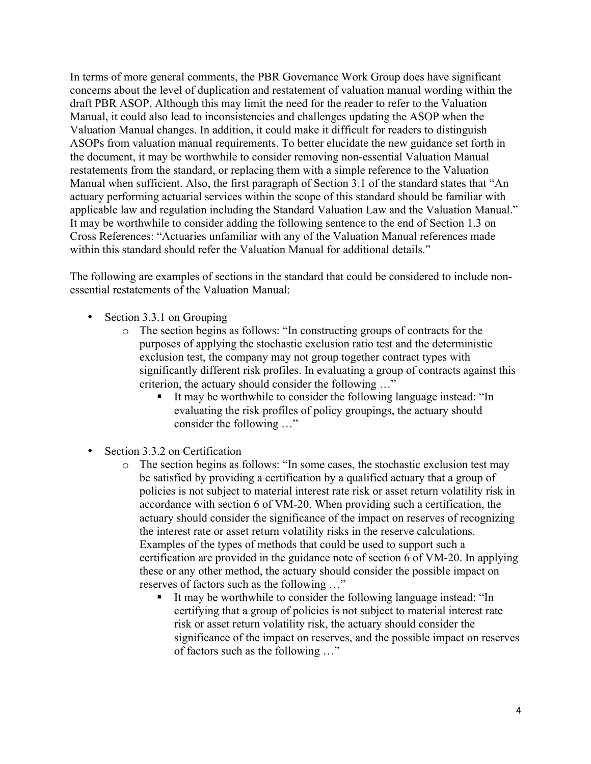In terms of more general comments, the PBR Governance Work Group does have significant concerns about the level of duplication and restatement of valuation manual wording within the draft PBR ASOP. Although this may limit the need for the reader to refer to the Valuation Manual, it could also lead to inconsistencies and challenges updating the ASOP when the Valuation Manual changes. In addition, it could make it difficult for readers to distinguish ASOPs from valuation manual requirements. To better elucidate the new guidance set forth in the document, it may be worthwhile to consider removing non-essential Valuation Manual restatements from the standard, or replacing them with a simple reference to the Valuation Manual when sufficient. Also, the first paragraph of Section 3.1 of the standard states that "An actuary performing actuarial services within the scope of this standard should be familiar with applicable law and regulation including the Standard Valuation Law and the Valuation Manual." It may be worthwhile to consider adding the following sentence to the end of Section 1.3 on Cross References: "Actuaries unfamiliar with any of the Valuation Manual references made within this standard should refer the Valuation Manual for additional details."

The following are examples of sections in the standard that could be considered to include nonessential restatements of the Valuation Manual:

- Section 3.3.1 on Grouping
	- o The section begins as follows: "In constructing groups of contracts for the purposes of applying the stochastic exclusion ratio test and the deterministic exclusion test, the company may not group together contract types with significantly different risk profiles. In evaluating a group of contracts against this criterion, the actuary should consider the following …"
		- It may be worthwhile to consider the following language instead: "In evaluating the risk profiles of policy groupings, the actuary should consider the following …"
- Section 3.3.2 on Certification
	- o The section begins as follows: "In some cases, the stochastic exclusion test may be satisfied by providing a certification by a qualified actuary that a group of policies is not subject to material interest rate risk or asset return volatility risk in accordance with section 6 of VM-20. When providing such a certification, the actuary should consider the significance of the impact on reserves of recognizing the interest rate or asset return volatility risks in the reserve calculations. Examples of the types of methods that could be used to support such a certification are provided in the guidance note of section 6 of VM-20. In applying these or any other method, the actuary should consider the possible impact on reserves of factors such as the following …"
		- § It may be worthwhile to consider the following language instead: "In certifying that a group of policies is not subject to material interest rate risk or asset return volatility risk, the actuary should consider the significance of the impact on reserves, and the possible impact on reserves of factors such as the following …"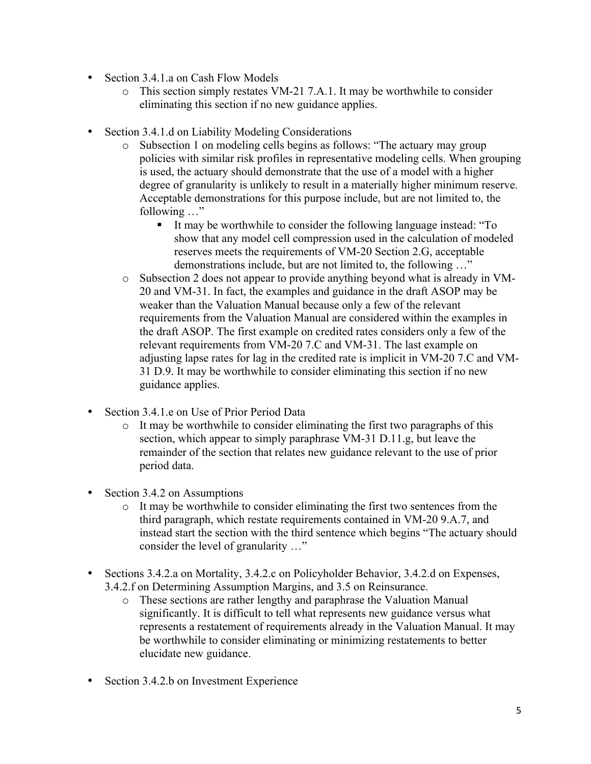- Section 3.4.1.a on Cash Flow Models
	- o This section simply restates VM-21 7.A.1. It may be worthwhile to consider eliminating this section if no new guidance applies.
- Section 3.4.1.d on Liability Modeling Considerations
	- o Subsection 1 on modeling cells begins as follows: "The actuary may group policies with similar risk profiles in representative modeling cells. When grouping is used, the actuary should demonstrate that the use of a model with a higher degree of granularity is unlikely to result in a materially higher minimum reserve. Acceptable demonstrations for this purpose include, but are not limited to, the following …"
		- § It may be worthwhile to consider the following language instead: "To show that any model cell compression used in the calculation of modeled reserves meets the requirements of VM-20 Section 2.G, acceptable demonstrations include, but are not limited to, the following …"
	- o Subsection 2 does not appear to provide anything beyond what is already in VM-20 and VM-31. In fact, the examples and guidance in the draft ASOP may be weaker than the Valuation Manual because only a few of the relevant requirements from the Valuation Manual are considered within the examples in the draft ASOP. The first example on credited rates considers only a few of the relevant requirements from VM-20 7.C and VM-31. The last example on adjusting lapse rates for lag in the credited rate is implicit in VM-20 7.C and VM-31 D.9. It may be worthwhile to consider eliminating this section if no new guidance applies.
- Section 3.4.1.e on Use of Prior Period Data
	- o It may be worthwhile to consider eliminating the first two paragraphs of this section, which appear to simply paraphrase VM-31 D.11.g, but leave the remainder of the section that relates new guidance relevant to the use of prior period data.
- Section 3.4.2 on Assumptions
	- o It may be worthwhile to consider eliminating the first two sentences from the third paragraph, which restate requirements contained in VM-20 9.A.7, and instead start the section with the third sentence which begins "The actuary should consider the level of granularity …"
- Sections 3.4.2.a on Mortality, 3.4.2.c on Policyholder Behavior, 3.4.2.d on Expenses, 3.4.2.f on Determining Assumption Margins, and 3.5 on Reinsurance.
	- o These sections are rather lengthy and paraphrase the Valuation Manual significantly. It is difficult to tell what represents new guidance versus what represents a restatement of requirements already in the Valuation Manual. It may be worthwhile to consider eliminating or minimizing restatements to better elucidate new guidance.
- Section 3.4.2.b on Investment Experience